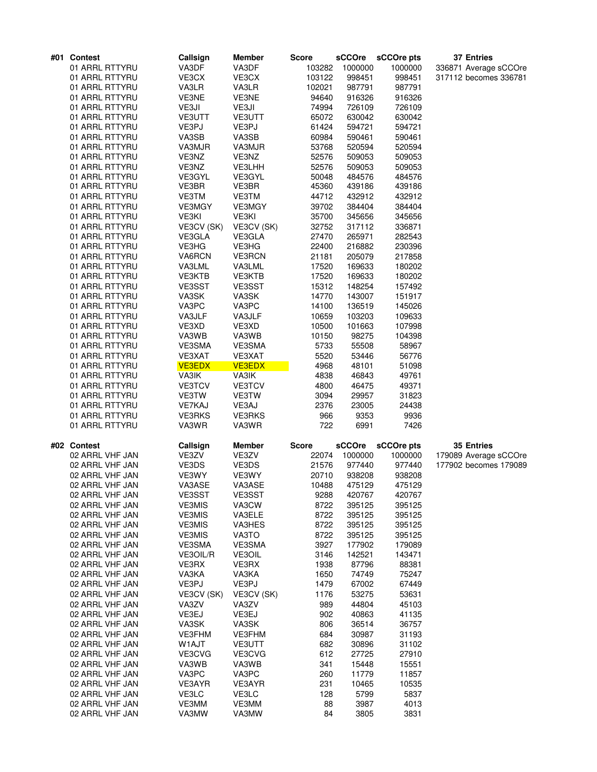| #01 Contest     | Callsign      | <b>Member</b> | <b>Score</b> | <b>sCCOre</b> | sCCOre pts | <b>37 Entries</b>     |
|-----------------|---------------|---------------|--------------|---------------|------------|-----------------------|
| 01 ARRL RTTYRU  | VA3DF         | VA3DF         | 103282       | 1000000       | 1000000    | 336871 Average sCCOre |
| 01 ARRL RTTYRU  | VE3CX         | VE3CX         | 103122       | 998451        | 998451     | 317112 becomes 336781 |
| 01 ARRL RTTYRU  | VA3LR         | VA3LR         | 102021       | 987791        | 987791     |                       |
| 01 ARRL RTTYRU  | VE3NE         | VE3NE         | 94640        | 916326        | 916326     |                       |
| 01 ARRL RTTYRU  | VE3JI         | VE3JI         | 74994        | 726109        | 726109     |                       |
| 01 ARRL RTTYRU  | <b>VE3UTT</b> | VE3UTT        | 65072        | 630042        | 630042     |                       |
| 01 ARRL RTTYRU  | VE3PJ         | VE3PJ         | 61424        | 594721        | 594721     |                       |
| 01 ARRL RTTYRU  | VA3SB         | VA3SB         | 60984        | 590461        | 590461     |                       |
| 01 ARRL RTTYRU  | VA3MJR        | VA3MJR        | 53768        | 520594        | 520594     |                       |
| 01 ARRL RTTYRU  | VE3NZ         | VE3NZ         | 52576        | 509053        | 509053     |                       |
| 01 ARRL RTTYRU  | VE3NZ         | VE3LHH        | 52576        | 509053        | 509053     |                       |
| 01 ARRL RTTYRU  | VE3GYL        | VE3GYL        | 50048        | 484576        | 484576     |                       |
| 01 ARRL RTTYRU  | VE3BR         | VE3BR         | 45360        | 439186        | 439186     |                       |
| 01 ARRL RTTYRU  | VE3TM         | VE3TM         | 44712        | 432912        | 432912     |                       |
| 01 ARRL RTTYRU  | VE3MGY        | VE3MGY        | 39702        | 384404        | 384404     |                       |
| 01 ARRL RTTYRU  | VE3KI         | VE3KI         | 35700        | 345656        | 345656     |                       |
| 01 ARRL RTTYRU  | VE3CV (SK)    | VE3CV (SK)    | 32752        | 317112        | 336871     |                       |
| 01 ARRL RTTYRU  | VE3GLA        | VE3GLA        | 27470        | 265971        | 282543     |                       |
| 01 ARRL RTTYRU  | VE3HG         | VE3HG         | 22400        | 216882        | 230396     |                       |
| 01 ARRL RTTYRU  | VA6RCN        | <b>VE3RCN</b> | 21181        | 205079        | 217858     |                       |
| 01 ARRL RTTYRU  | VA3LML        | VA3LML        | 17520        | 169633        | 180202     |                       |
| 01 ARRL RTTYRU  | VE3KTB        | VE3KTB        | 17520        | 169633        | 180202     |                       |
| 01 ARRL RTTYRU  | VE3SST        | VE3SST        | 15312        | 148254        | 157492     |                       |
| 01 ARRL RTTYRU  | VA3SK         | VA3SK         | 14770        | 143007        | 151917     |                       |
| 01 ARRL RTTYRU  | VA3PC         | VA3PC         | 14100        | 136519        | 145026     |                       |
| 01 ARRL RTTYRU  | VA3JLF        | VA3JLF        | 10659        | 103203        | 109633     |                       |
| 01 ARRL RTTYRU  | VE3XD         | VE3XD         | 10500        | 101663        | 107998     |                       |
| 01 ARRL RTTYRU  | VA3WB         | VA3WB         | 10150        | 98275         | 104398     |                       |
| 01 ARRL RTTYRU  | VE3SMA        | VE3SMA        | 5733         | 55508         | 58967      |                       |
| 01 ARRL RTTYRU  | VE3XAT        | VE3XAT        | 5520         | 53446         | 56776      |                       |
| 01 ARRL RTTYRU  | <b>VE3EDX</b> | <b>VE3EDX</b> | 4968         | 48101         | 51098      |                       |
| 01 ARRL RTTYRU  | VA3IK         | VA3IK         | 4838         | 46843         | 49761      |                       |
| 01 ARRL RTTYRU  | VE3TCV        | VE3TCV        | 4800         | 46475         | 49371      |                       |
| 01 ARRL RTTYRU  | VE3TW         | VE3TW         | 3094         | 29957         | 31823      |                       |
| 01 ARRL RTTYRU  | <b>VE7KAJ</b> | VE3AJ         | 2376         | 23005         | 24438      |                       |
| 01 ARRL RTTYRU  | <b>VE3RKS</b> | <b>VE3RKS</b> | 966          | 9353          | 9936       |                       |
| 01 ARRL RTTYRU  | VA3WR         | VA3WR         | 722          | 6991          | 7426       |                       |
| #02 Contest     | Callsign      | Member        | <b>Score</b> | sCCOre        | sCCOre pts | 35 Entries            |
| 02 ARRL VHF JAN | VE3ZV         | VE3ZV         | 22074        | 1000000       | 1000000    | 179089 Average sCCOre |
| 02 ARRL VHF JAN | VE3DS         | VE3DS         | 21576        | 977440        | 977440     | 177902 becomes 179089 |
| 02 ARRL VHF JAN | VE3WY         | VE3WY         | 20710        | 938208        | 938208     |                       |
| 02 ARRL VHF JAN | VA3ASE        | VA3ASE        | 10488        | 475129        | 475129     |                       |
| 02 ARRL VHF JAN | VE3SST        | VE3SST        | 9288         | 420767        | 420767     |                       |
| 02 ARRL VHF JAN | <b>VE3MIS</b> | VA3CW         | 8722         | 395125        | 395125     |                       |
| 02 ARRL VHF JAN | <b>VE3MIS</b> | VA3ELE        | 8722         | 395125        | 395125     |                       |
| 02 ARRL VHF JAN | <b>VE3MIS</b> | VA3HES        | 8722         | 395125        | 395125     |                       |
| 02 ARRL VHF JAN | <b>VE3MIS</b> | VA3TO         | 8722         | 395125        | 395125     |                       |
| 02 ARRL VHF JAN | VE3SMA        | VE3SMA        | 3927         | 177902        | 179089     |                       |
| 02 ARRL VHF JAN | VE3OIL/R      | VE3OIL        | 3146         | 142521        | 143471     |                       |
| 02 ARRL VHF JAN | VE3RX         | VE3RX         | 1938         | 87796         | 88381      |                       |
| 02 ARRL VHF JAN | VA3KA         | VA3KA         | 1650         | 74749         | 75247      |                       |
| 02 ARRL VHF JAN | VE3PJ         | VE3PJ         | 1479         | 67002         | 67449      |                       |
| 02 ARRL VHF JAN | VE3CV (SK)    | VE3CV (SK)    | 1176         | 53275         | 53631      |                       |
| 02 ARRL VHF JAN | VA3ZV         | VA3ZV         | 989          | 44804         | 45103      |                       |
| 02 ARRL VHF JAN | VE3EJ         | VE3EJ         | 902          | 40863         | 41135      |                       |
| 02 ARRL VHF JAN | VA3SK         | VA3SK         | 806          | 36514         | 36757      |                       |
| 02 ARRL VHF JAN | VE3FHM        | VE3FHM        | 684          | 30987         | 31193      |                       |
| 02 ARRL VHF JAN | W1AJT         | VE3UTT        | 682          | 30896         | 31102      |                       |
| 02 ARRL VHF JAN | VE3CVG        | VE3CVG        | 612          | 27725         | 27910      |                       |
| 02 ARRL VHF JAN | VA3WB         | VA3WB         | 341          | 15448         | 15551      |                       |
| 02 ARRL VHF JAN | VA3PC         | VA3PC         | 260          | 11779         | 11857      |                       |
| 02 ARRL VHF JAN | VE3AYR        | VE3AYR        | 231          | 10465         | 10535      |                       |
| 02 ARRL VHF JAN | VE3LC         | VE3LC         | 128          | 5799          | 5837       |                       |
| 02 ARRL VHF JAN | VE3MM         | VE3MM         | 88           | 3987          | 4013       |                       |
| 02 ARRL VHF JAN | VA3MW         | VA3MW         | 84           | 3805          | 3831       |                       |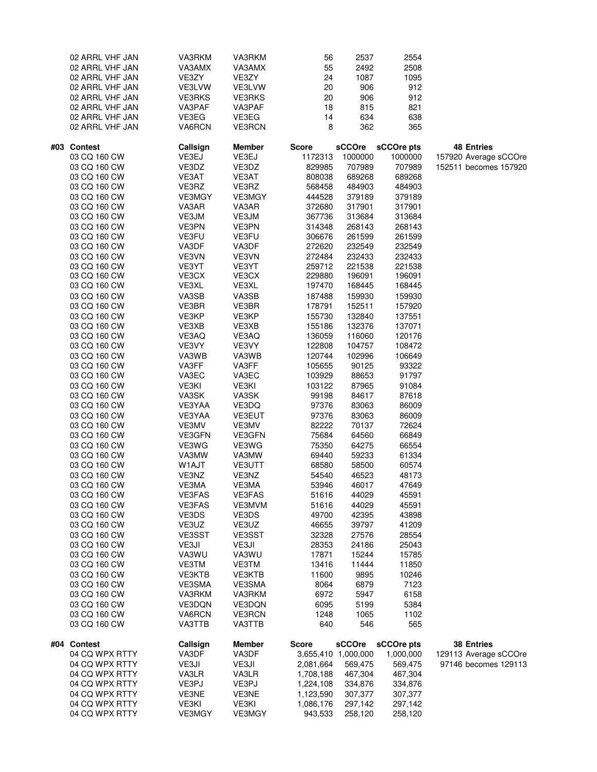| 02 ARRL VHF JAN<br>02 ARRL VHF JAN<br>02 ARRL VHF JAN<br>02 ARRL VHF JAN<br>02 ARRL VHF JAN<br>02 ARRL VHF JAN<br>02 ARRL VHF JAN<br>02 ARRL VHF JAN                                                                                                                                                                                                                                                                                                                                                                                                                                                                                                                                                                                                                                                        | VA3RKM<br>VA3AMX<br>VE3ZY<br>VE3LVW<br><b>VE3RKS</b><br>VA3PAF<br>VE3EG<br>VA6RCN                                                                                                                                                                                                                                                                                                                                                                                            | VA3RKM<br>VA3AMX<br>VE3ZY<br>VE3LVW<br><b>VE3RKS</b><br>VA3PAF<br>VE3EG<br>VE3RCN                                                                                                                                                                                                                                                                                                                                                                                                        | 56<br>55<br>24<br>20<br>20<br>18<br>14<br>8                                                                                                                                                                                                                                                                                                                                                                                                                                     | 2537<br>2492<br>1087<br>906<br>906<br>815<br>634<br>362                                                                                                                                                                                                                                                                                                                                                                                                               | 2554<br>2508<br>1095<br>912<br>912<br>821<br>638<br>365                                                                                                                                                                                                                                                                                                                                                                                                                    |                                                                     |
|-------------------------------------------------------------------------------------------------------------------------------------------------------------------------------------------------------------------------------------------------------------------------------------------------------------------------------------------------------------------------------------------------------------------------------------------------------------------------------------------------------------------------------------------------------------------------------------------------------------------------------------------------------------------------------------------------------------------------------------------------------------------------------------------------------------|------------------------------------------------------------------------------------------------------------------------------------------------------------------------------------------------------------------------------------------------------------------------------------------------------------------------------------------------------------------------------------------------------------------------------------------------------------------------------|------------------------------------------------------------------------------------------------------------------------------------------------------------------------------------------------------------------------------------------------------------------------------------------------------------------------------------------------------------------------------------------------------------------------------------------------------------------------------------------|---------------------------------------------------------------------------------------------------------------------------------------------------------------------------------------------------------------------------------------------------------------------------------------------------------------------------------------------------------------------------------------------------------------------------------------------------------------------------------|-----------------------------------------------------------------------------------------------------------------------------------------------------------------------------------------------------------------------------------------------------------------------------------------------------------------------------------------------------------------------------------------------------------------------------------------------------------------------|----------------------------------------------------------------------------------------------------------------------------------------------------------------------------------------------------------------------------------------------------------------------------------------------------------------------------------------------------------------------------------------------------------------------------------------------------------------------------|---------------------------------------------------------------------|
| #03 Contest<br>03 CQ 160 CW<br>03 CQ 160 CW<br>03 CQ 160 CW<br>03 CQ 160 CW<br>03 CQ 160 CW<br>03 CQ 160 CW<br>03 CQ 160 CW<br>03 CQ 160 CW<br>03 CQ 160 CW<br>03 CQ 160 CW<br>03 CQ 160 CW<br>03 CQ 160 CW<br>03 CQ 160 CW<br>03 CQ 160 CW<br>03 CQ 160 CW<br>03 CQ 160 CW<br>03 CQ 160 CW<br>03 CQ 160 CW<br>03 CQ 160 CW<br>03 CQ 160 CW<br>03 CQ 160 CW<br>03 CQ 160 CW<br>03 CQ 160 CW<br>03 CQ 160 CW<br>03 CQ 160 CW<br>03 CQ 160 CW<br>03 CQ 160 CW<br>03 CQ 160 CW<br>03 CQ 160 CW<br>03 CQ 160 CW<br>03 CQ 160 CW<br>03 CQ 160 CW<br>03 CQ 160 CW<br>03 CQ 160 CW<br>03 CQ 160 CW<br>03 CQ 160 CW<br>03 CQ 160 CW<br>03 CQ 160 CW<br>03 CQ 160 CW<br>03 CQ 160 CW<br>03 CQ 160 CW<br>03 CQ 160 CW<br>03 CQ 160 CW<br>03 CQ 160 CW<br>03 CQ 160 CW<br>03 CQ 160 CW<br>03 CQ 160 CW<br>03 CQ 160 CW | Callsign<br>VE3EJ<br>VE3DZ<br>VE3AT<br>VE3RZ<br>VE3MGY<br>VA3AR<br>VE3JM<br>VE3PN<br>VE3FU<br>VA3DF<br>VE3VN<br>VE3YT<br>VE3CX<br>VE3XL<br>VA3SB<br>VE3BR<br>VE3KP<br>VE3XB<br>VE3AQ<br>VE3VY<br>VA3WB<br>VA3FF<br>VA3EC<br>VE3KI<br>VA3SK<br>VE3YAA<br>VE3YAA<br>VE3MV<br>VE3GFN<br>VE3WG<br>VA3MW<br>W1AJT<br>VE3NZ<br>VE3MA<br>VE3FAS<br><b>VE3FAS</b><br>VE3DS<br>VE3UZ<br>VE3SST<br>VE3JI<br>VA3WU<br>VE3TM<br>VE3KTB<br>VE3SMA<br>VA3RKM<br>VE3DQN<br>VA6RCN<br>VA3TTB | <b>Member</b><br>VE3EJ<br>VE3DZ<br>VE3AT<br>VE3RZ<br>VE3MGY<br>VA3AR<br>VE3JM<br>VE3PN<br>VE3FU<br>VA3DF<br>VE3VN<br>VE3YT<br>VE3CX<br>VE3XL<br>VA3SB<br>VE3BR<br>VE3KP<br>VE3XB<br>VE3AQ<br>VE3VY<br>VA3WB<br>VA3FF<br>VA3EC<br>VE3KI<br>VA3SK<br>VE3DQ<br>VE3EUT<br>VE3MV<br>VE3GFN<br>VE3WG<br>VA3MW<br>VE3UTT<br>VE3NZ<br>VE3MA<br><b>VE3FAS</b><br>VE3MVM<br>VE3DS<br>VE3UZ<br>VE3SST<br>VE3JI<br>VA3WU<br>VE3TM<br>VE3KTB<br>VE3SMA<br>VA3RKM<br>VE3DQN<br><b>VE3RCN</b><br>VA3TTB | <b>Score</b><br>1172313<br>829985<br>808038<br>568458<br>444528<br>372680<br>367736<br>314348<br>306676<br>272620<br>272484<br>259712<br>229880<br>197470<br>187488<br>178791<br>155730<br>155186<br>136059<br>122808<br>120744<br>105655<br>103929<br>103122<br>99198<br>97376<br>97376<br>82222<br>75684<br>75350<br>69440<br>68580<br>54540<br>53946<br>51616<br>51616<br>49700<br>46655<br>32328<br>28353<br>17871<br>13416<br>11600<br>8064<br>6972<br>6095<br>1248<br>640 | sCCOre<br>1000000<br>707989<br>689268<br>484903<br>379189<br>317901<br>313684<br>268143<br>261599<br>232549<br>232433<br>221538<br>196091<br>168445<br>159930<br>152511<br>132840<br>132376<br>116060<br>104757<br>102996<br>90125<br>88653<br>87965<br>84617<br>83063<br>83063<br>70137<br>64560<br>64275<br>59233<br>58500<br>46523<br>46017<br>44029<br>44029<br>42395<br>39797<br>27576<br>24186<br>15244<br>11444<br>9895<br>6879<br>5947<br>5199<br>1065<br>546 | sCCOre pts<br>1000000<br>707989<br>689268<br>484903<br>379189<br>317901<br>313684<br>268143<br>261599<br>232549<br>232433<br>221538<br>196091<br>168445<br>159930<br>157920<br>137551<br>137071<br>120176<br>108472<br>106649<br>93322<br>91797<br>91084<br>87618<br>86009<br>86009<br>72624<br>66849<br>66554<br>61334<br>60574<br>48173<br>47649<br>45591<br>45591<br>43898<br>41209<br>28554<br>25043<br>15785<br>11850<br>10246<br>7123<br>6158<br>5384<br>1102<br>565 | <b>48 Entries</b><br>157920 Average sCCOre<br>152511 becomes 157920 |
| #04 Contest<br>04 CQ WPX RTTY<br>04 CQ WPX RTTY<br>04 CQ WPX RTTY<br>04 CQ WPX RTTY<br>04 CQ WPX RTTY<br>04 CQ WPX RTTY<br>04 CQ WPX RTTY                                                                                                                                                                                                                                                                                                                                                                                                                                                                                                                                                                                                                                                                   | Callsign<br>VA3DF<br>VE3JI<br>VA3LR<br>VE3PJ<br>VE3NE<br>VE3KI<br>VE3MGY                                                                                                                                                                                                                                                                                                                                                                                                     | <b>Member</b><br>VA3DF<br>VE3JI<br>VA3LR<br>VE3PJ<br>VE3NE<br>VE3KI<br>VE3MGY                                                                                                                                                                                                                                                                                                                                                                                                            | <b>Score</b><br>2,081,664<br>1,708,188<br>1,224,108<br>1,123,590<br>1,086,176<br>943,533                                                                                                                                                                                                                                                                                                                                                                                        | sCCOre<br>3,655,410 1,000,000<br>569,475<br>467,304<br>334,876<br>307,377<br>297,142<br>258,120                                                                                                                                                                                                                                                                                                                                                                       | sCCOre pts<br>1,000,000<br>569,475<br>467,304<br>334,876<br>307,377<br>297,142<br>258,120                                                                                                                                                                                                                                                                                                                                                                                  | <b>38 Entries</b><br>129113 Average sCCOre<br>97146 becomes 129113  |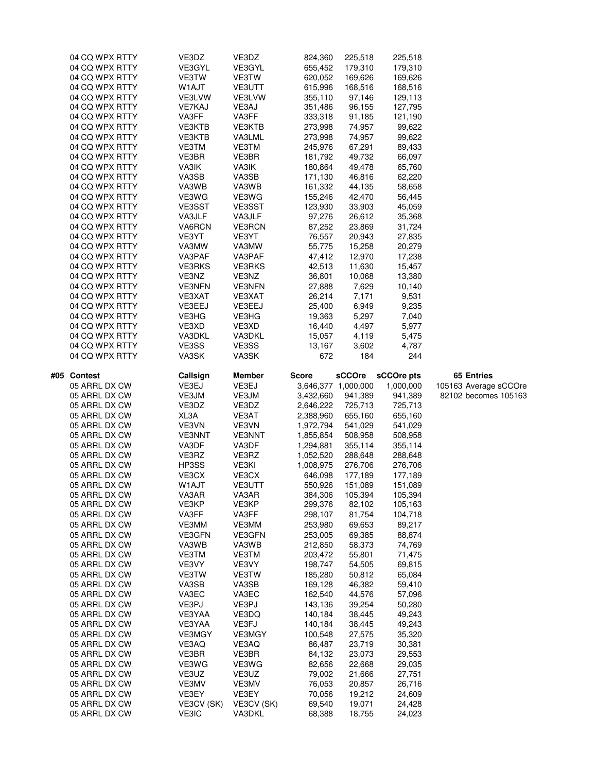|     | 04 CQ WPX RTTY<br>04 CQ WPX RTTY<br>04 CQ WPX RTTY<br>04 CQ WPX RTTY<br>04 CQ WPX RTTY<br>04 CQ WPX RTTY<br>04 CQ WPX RTTY<br>04 CQ WPX RTTY<br>04 CQ WPX RTTY<br>04 CQ WPX RTTY<br>04 CQ WPX RTTY<br>04 CQ WPX RTTY<br>04 CQ WPX RTTY<br>04 CQ WPX RTTY<br>04 CQ WPX RTTY<br>04 CQ WPX RTTY<br>04 CQ WPX RTTY<br>04 CQ WPX RTTY<br>04 CQ WPX RTTY<br>04 CQ WPX RTTY<br>04 CQ WPX RTTY<br>04 CQ WPX RTTY<br>04 CQ WPX RTTY<br>04 CQ WPX RTTY                                                                                                                                                              | VE3DZ<br>VE3GYL<br>VE3TW<br>W1AJT<br>VE3LVW<br><b>VE7KAJ</b><br>VA3FF<br>VE3KTB<br>VE3KTB<br>VE3TM<br>VE3BR<br>VA3IK<br>VA3SB<br>VA3WB<br>VE3WG<br>VE3SST<br>VA3JLF<br>VA6RCN<br>VE3YT<br>VA3MW<br>VA3PAF<br><b>VE3RKS</b><br>VE3NZ<br><b>VE3NFN</b>                                                                                       | VE3DZ<br>VE3GYL<br>VE3TW<br>VE3UTT<br>VE3LVW<br>VE3AJ<br>VA3FF<br>VE3KTB<br>VA3LML<br>VE3TM<br>VE3BR<br>VA3IK<br>VA3SB<br>VA3WB<br>VE3WG<br>VE3SST<br>VA3JLF<br><b>VE3RCN</b><br>VE3YT<br>VA3MW<br>VA3PAF<br><b>VE3RKS</b><br>VE3NZ<br><b>VE3NFN</b>                                                                                             | 824,360<br>655,452<br>620,052<br>615,996<br>355,110<br>351,486<br>333,318<br>273,998<br>273,998<br>245,976<br>181,792<br>180,864<br>171,130<br>161,332<br>155,246<br>123,930<br>97,276<br>87,252<br>76,557<br>55,775<br>47,412<br>42,513<br>36,801<br>27,888                                                                                                                                    | 225,518<br>179,310<br>169,626<br>168,516<br>97,146<br>96,155<br>91,185<br>74,957<br>74,957<br>67,291<br>49,732<br>49,478<br>46,816<br>44,135<br>42,470<br>33,903<br>26,612<br>23,869<br>20,943<br>15,258<br>12,970<br>11,630<br>10,068<br>7,629                                                                                                                                    | 225,518<br>179,310<br>169,626<br>168,516<br>129,113<br>127,795<br>121,190<br>99,622<br>99,622<br>89,433<br>66,097<br>65,760<br>62,220<br>58,658<br>56,445<br>45,059<br>35,368<br>31,724<br>27,835<br>20,279<br>17,238<br>15,457<br>13,380<br>10,140                                                                                                                            |                                                             |
|-----|-----------------------------------------------------------------------------------------------------------------------------------------------------------------------------------------------------------------------------------------------------------------------------------------------------------------------------------------------------------------------------------------------------------------------------------------------------------------------------------------------------------------------------------------------------------------------------------------------------------|--------------------------------------------------------------------------------------------------------------------------------------------------------------------------------------------------------------------------------------------------------------------------------------------------------------------------------------------|--------------------------------------------------------------------------------------------------------------------------------------------------------------------------------------------------------------------------------------------------------------------------------------------------------------------------------------------------|-------------------------------------------------------------------------------------------------------------------------------------------------------------------------------------------------------------------------------------------------------------------------------------------------------------------------------------------------------------------------------------------------|------------------------------------------------------------------------------------------------------------------------------------------------------------------------------------------------------------------------------------------------------------------------------------------------------------------------------------------------------------------------------------|--------------------------------------------------------------------------------------------------------------------------------------------------------------------------------------------------------------------------------------------------------------------------------------------------------------------------------------------------------------------------------|-------------------------------------------------------------|
|     | 04 CQ WPX RTTY<br>04 CQ WPX RTTY<br>04 CQ WPX RTTY<br>04 CQ WPX RTTY<br>04 CQ WPX RTTY                                                                                                                                                                                                                                                                                                                                                                                                                                                                                                                    | VE3XAT<br>VE3EEJ<br>VE3HG<br>VE3XD<br>VA3DKL                                                                                                                                                                                                                                                                                               | VE3XAT<br>VE3EEJ<br>VE3HG<br>VE3XD<br>VA3DKL                                                                                                                                                                                                                                                                                                     | 26,214<br>25,400<br>19,363<br>16,440<br>15,057                                                                                                                                                                                                                                                                                                                                                  | 7,171<br>6,949<br>5,297<br>4,497<br>4,119                                                                                                                                                                                                                                                                                                                                          | 9,531<br>9,235<br>7,040<br>5,977<br>5,475                                                                                                                                                                                                                                                                                                                                      |                                                             |
|     | 04 CQ WPX RTTY<br>04 CQ WPX RTTY                                                                                                                                                                                                                                                                                                                                                                                                                                                                                                                                                                          | VE3SS<br>VA3SK                                                                                                                                                                                                                                                                                                                             | VE3SS<br>VA3SK                                                                                                                                                                                                                                                                                                                                   | 13,167<br>672                                                                                                                                                                                                                                                                                                                                                                                   | 3,602<br>184                                                                                                                                                                                                                                                                                                                                                                       | 4,787<br>244                                                                                                                                                                                                                                                                                                                                                                   |                                                             |
| #05 | Contest<br>05 ARRL DX CW<br>05 ARRL DX CW<br>05 ARRL DX CW<br>05 ARRL DX CW<br>05 ARRL DX CW<br>05 ARRL DX CW<br>05 ARRL DX CW<br>05 ARRL DX CW<br>05 ARRL DX CW<br>05 ARRL DX CW<br>05 ARRL DX CW<br>05 ARRL DX CW<br>05 ARRL DX CW<br>05 ARRL DX CW<br>05 ARRL DX CW<br>05 ARRL DX CW<br>05 ARRL DX CW<br>05 ARRL DX CW<br>05 ARRL DX CW<br>05 ARRL DX CW<br>05 ARRL DX CW<br>05 ARRL DX CW<br>05 ARRL DX CW<br>05 ARRL DX CW<br>05 ARRL DX CW<br>05 ARRL DX CW<br>05 ARRL DX CW<br>05 ARRL DX CW<br>05 ARRL DX CW<br>05 ARRL DX CW<br>05 ARRL DX CW<br>05 ARRL DX CW<br>05 ARRL DX CW<br>05 ARRL DX CW | Callsign<br>VE3EJ<br>VE3JM<br>VE3DZ<br>XL3A<br>VE3VN<br><b>VE3NNT</b><br>VA3DF<br>VE3RZ<br>HP3SS<br>VE3CX<br>W1AJT<br>VA3AR<br>VE3KP<br>VA3FF<br>VE3MM<br>VE3GFN<br>VA3WB<br>VE3TM<br>VE3VY<br>VE3TW<br>VA3SB<br>VA3EC<br>VE3PJ<br>VE3YAA<br>VE3YAA<br>VE3MGY<br>VE3AQ<br>VE3BR<br>VE3WG<br>VE3UZ<br>VE3MV<br>VE3EY<br>VE3CV (SK)<br>VE3IC | <b>Member</b><br>VE3EJ<br>VE3JM<br>VE3DZ<br>VE3AT<br>VE3VN<br><b>VE3NNT</b><br>VA3DF<br>VE3RZ<br>VE3KI<br>VE3CX<br>VE3UTT<br>VA3AR<br>VE3KP<br>VA3FF<br>VE3MM<br>VE3GFN<br>VA3WB<br>VE3TM<br>VE3VY<br>VE3TW<br>VA3SB<br>VA3EC<br>VE3PJ<br>VE3DQ<br>VE3FJ<br>VE3MGY<br>VE3AQ<br>VE3BR<br>VE3WG<br>VE3UZ<br>VE3MV<br>VE3EY<br>VE3CV (SK)<br>VA3DKL | <b>Score</b><br>3,432,660<br>2,646,222<br>2,388,960<br>1,972,794<br>1,855,854<br>1,294,881<br>1,052,520<br>1,008,975<br>646,098<br>550,926<br>384,306<br>299,376<br>298,107<br>253,980<br>253,005<br>212,850<br>203,472<br>198,747<br>185,280<br>169,128<br>162,540<br>143,136<br>140,184<br>140,184<br>100,548<br>86,487<br>84,132<br>82,656<br>79,002<br>76,053<br>70,056<br>69,540<br>68,388 | sCCOre<br>3,646,377 1,000,000<br>941,389<br>725,713<br>655,160<br>541,029<br>508,958<br>355,114<br>288,648<br>276,706<br>177,189<br>151,089<br>105,394<br>82,102<br>81,754<br>69,653<br>69,385<br>58,373<br>55,801<br>54,505<br>50,812<br>46,382<br>44,576<br>39,254<br>38,445<br>38,445<br>27,575<br>23,719<br>23,073<br>22,668<br>21,666<br>20,857<br>19,212<br>19,071<br>18,755 | sCCOre pts<br>1,000,000<br>941,389<br>725,713<br>655,160<br>541,029<br>508,958<br>355,114<br>288,648<br>276,706<br>177,189<br>151,089<br>105,394<br>105,163<br>104,718<br>89,217<br>88,874<br>74,769<br>71,475<br>69,815<br>65,084<br>59,410<br>57,096<br>50,280<br>49,243<br>49,243<br>35,320<br>30,381<br>29,553<br>29,035<br>27,751<br>26,716<br>24,609<br>24,428<br>24,023 | 65 Entries<br>105163 Average sCCOre<br>82102 becomes 105163 |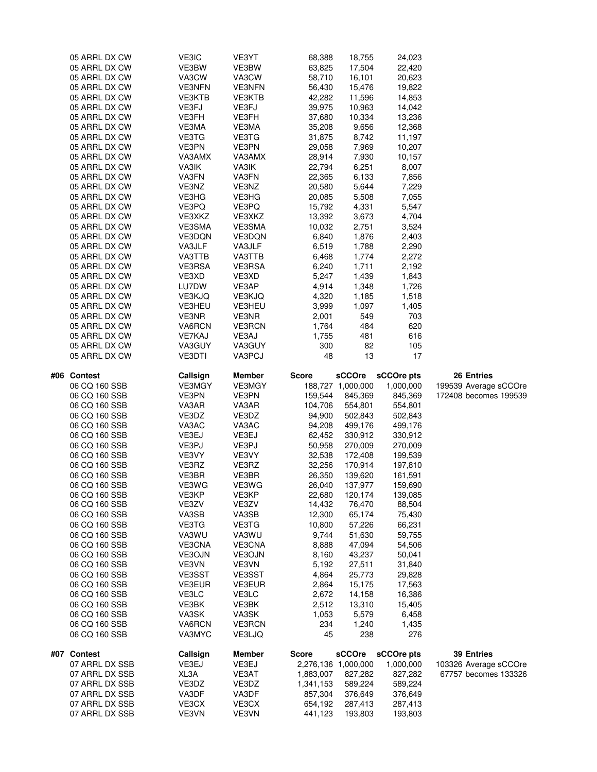|     | 05 ARRL DX CW  | VE3IC          | VE3YT          | 68,388              | 18,755            | 24,023     |                       |
|-----|----------------|----------------|----------------|---------------------|-------------------|------------|-----------------------|
|     | 05 ARRL DX CW  | VE3BW          | VE3BW          | 63,825              | 17,504            | 22,420     |                       |
|     | 05 ARRL DX CW  | VA3CW          | VA3CW          | 58,710              | 16,101            | 20,623     |                       |
|     | 05 ARRL DX CW  | <b>VE3NFN</b>  | <b>VE3NFN</b>  | 56,430              | 15,476            | 19,822     |                       |
|     | 05 ARRL DX CW  | VE3KTB         | VE3KTB         | 42,282              | 11,596            | 14,853     |                       |
|     | 05 ARRL DX CW  | VE3FJ          |                | 39,975              |                   |            |                       |
|     |                |                | VE3FJ          |                     | 10,963            | 14,042     |                       |
|     | 05 ARRL DX CW  | VE3FH          | VE3FH          | 37,680              | 10,334            | 13,236     |                       |
|     | 05 ARRL DX CW  | VE3MA          | VE3MA          | 35,208              | 9,656             | 12,368     |                       |
|     | 05 ARRL DX CW  | VE3TG          | VE3TG          | 31,875              | 8,742             | 11,197     |                       |
|     | 05 ARRL DX CW  | VE3PN          | VE3PN          | 29,058              | 7,969             | 10,207     |                       |
|     | 05 ARRL DX CW  | VA3AMX         | VA3AMX         | 28,914              | 7,930             | 10,157     |                       |
|     | 05 ARRL DX CW  | VA3IK          | VA3IK          | 22,794              | 6,251             | 8,007      |                       |
|     | 05 ARRL DX CW  | VA3FN          | VA3FN          | 22,365              | 6,133             | 7,856      |                       |
|     | 05 ARRL DX CW  | VE3NZ          | VE3NZ          | 20,580              | 5,644             | 7,229      |                       |
|     |                |                |                |                     |                   |            |                       |
|     | 05 ARRL DX CW  | VE3HG          | VE3HG          | 20,085              | 5,508             | 7,055      |                       |
|     | 05 ARRL DX CW  | VE3PQ          | VE3PQ          | 15,792              | 4,331             | 5,547      |                       |
|     | 05 ARRL DX CW  | VE3XKZ         | VE3XKZ         | 13,392              | 3,673             | 4,704      |                       |
|     | 05 ARRL DX CW  | VE3SMA         | VE3SMA         | 10,032              | 2,751             | 3,524      |                       |
|     | 05 ARRL DX CW  | VE3DQN         | VE3DQN         | 6,840               | 1,876             | 2,403      |                       |
|     | 05 ARRL DX CW  | VA3JLF         | VA3JLF         | 6,519               | 1,788             | 2,290      |                       |
|     | 05 ARRL DX CW  | VA3TTB         | VA3TTB         | 6,468               | 1,774             | 2,272      |                       |
|     | 05 ARRL DX CW  | VE3RSA         | VE3RSA         | 6,240               | 1,711             | 2,192      |                       |
|     | 05 ARRL DX CW  | VE3XD          | VE3XD          | 5,247               | 1,439             | 1,843      |                       |
|     |                |                |                |                     |                   |            |                       |
|     | 05 ARRL DX CW  | LU7DW          | VE3AP          | 4,914               | 1,348             | 1,726      |                       |
|     | 05 ARRL DX CW  | VE3KJQ         | VE3KJQ         | 4,320               | 1,185             | 1,518      |                       |
|     | 05 ARRL DX CW  | <b>VE3HEU</b>  | VE3HEU         | 3,999               | 1,097             | 1,405      |                       |
|     | 05 ARRL DX CW  | VE3NR          | VE3NR          | 2,001               | 549               | 703        |                       |
|     | 05 ARRL DX CW  | VA6RCN         | <b>VE3RCN</b>  | 1,764               | 484               | 620        |                       |
|     | 05 ARRL DX CW  | VE7KAJ         | VE3AJ          | 1,755               | 481               | 616        |                       |
|     | 05 ARRL DX CW  | VA3GUY         | VA3GUY         | 300                 | 82                | 105        |                       |
|     | 05 ARRL DX CW  | VE3DTI         | VA3PCJ         | 48                  | 13                | 17         |                       |
|     |                |                |                |                     |                   |            |                       |
| #06 | <b>Contest</b> | Callsign       | Member         | <b>Score</b>        | sCCOre            | sCCOre pts | 26 Entries            |
|     |                | VE3MGY         |                |                     |                   |            |                       |
|     |                |                |                |                     |                   |            |                       |
|     | 06 CQ 160 SSB  |                | VE3MGY         |                     | 188,727 1,000,000 | 1,000,000  | 199539 Average sCCOre |
|     | 06 CQ 160 SSB  | VE3PN          | VE3PN          | 159,544             | 845,369           | 845,369    | 172408 becomes 199539 |
|     | 06 CQ 160 SSB  | VA3AR          | VA3AR          | 104,706             | 554,801           | 554,801    |                       |
|     | 06 CQ 160 SSB  | VE3DZ          | VE3DZ          | 94,900              | 502,843           | 502,843    |                       |
|     | 06 CQ 160 SSB  | VA3AC          | VA3AC          | 94,208              | 499,176           | 499,176    |                       |
|     | 06 CQ 160 SSB  | VE3EJ          | VE3EJ          | 62,452              | 330,912           | 330,912    |                       |
|     | 06 CQ 160 SSB  | VE3PJ          | VE3PJ          | 50,958              | 270,009           | 270,009    |                       |
|     | 06 CQ 160 SSB  | VE3VY          | VE3VY          | 32,538              | 172,408           | 199,539    |                       |
|     | 06 CQ 160 SSB  | VE3RZ          | VE3RZ          | 32,256              | 170,914           | 197,810    |                       |
|     | 06 CQ 160 SSB  | VE3BR          | VE3BR          | 26,350              | 139,620           |            |                       |
|     |                |                |                |                     |                   | 161,591    |                       |
|     | 06 CQ 160 SSB  | VE3WG          | VE3WG          | 26,040              | 137,977           | 159,690    |                       |
|     | 06 CQ 160 SSB  | VE3KP          | VE3KP          | 22,680              | 120,174           | 139,085    |                       |
|     | 06 CQ 160 SSB  | VE3ZV          | VE3ZV          | 14,432              | 76,470            | 88,504     |                       |
|     | 06 CQ 160 SSB  | VA3SB          | VA3SB          | 12,300              | 65,174            | 75,430     |                       |
|     | 06 CQ 160 SSB  | VE3TG          | VE3TG          | 10,800              | 57,226            | 66,231     |                       |
|     | 06 CQ 160 SSB  | VA3WU          | VA3WU          | 9,744               | 51,630            | 59,755     |                       |
|     | 06 CQ 160 SSB  | VE3CNA         | VE3CNA         | 8,888               | 47,094            | 54,506     |                       |
|     | 06 CQ 160 SSB  | VE3OJN         | VE3OJN         | 8,160               | 43,237            | 50,041     |                       |
|     | 06 CQ 160 SSB  | VE3VN          | VE3VN          | 5,192               | 27,511            | 31,840     |                       |
|     | 06 CQ 160 SSB  | VE3SST         | VE3SST         | 4,864               | 25,773            | 29,828     |                       |
|     | 06 CQ 160 SSB  | VE3EUR         | VE3EUR         |                     |                   |            |                       |
|     |                |                |                | 2,864               | 15,175            | 17,563     |                       |
|     | 06 CQ 160 SSB  | VE3LC          | VE3LC          | 2,672               | 14,158            | 16,386     |                       |
|     | 06 CQ 160 SSB  | VE3BK          | VE3BK          | 2,512               | 13,310            | 15,405     |                       |
|     | 06 CQ 160 SSB  | VA3SK          | VA3SK          | 1,053               | 5,579             | 6,458      |                       |
|     | 06 CQ 160 SSB  | VA6RCN         | <b>VE3RCN</b>  | 234                 | 1,240             | 1,435      |                       |
|     | 06 CQ 160 SSB  | VA3MYC         | VE3LJQ         | 45                  | 238               | 276        |                       |
|     |                |                |                |                     |                   |            |                       |
|     | #07 Contest    | Callsign       | <b>Member</b>  | <b>Score</b>        | sCCOre            | sCCOre pts | <b>39 Entries</b>     |
|     | 07 ARRL DX SSB | VE3EJ          | VE3EJ          | 2,276,136 1,000,000 |                   | 1,000,000  | 103326 Average sCCOre |
|     | 07 ARRL DX SSB | XL3A           | VE3AT          | 1,883,007           | 827,282           | 827,282    | 67757 becomes 133326  |
|     | 07 ARRL DX SSB | VE3DZ          | VE3DZ          | 1,341,153           | 589,224           | 589,224    |                       |
|     | 07 ARRL DX SSB | VA3DF          | VA3DF          | 857,304             | 376,649           | 376,649    |                       |
|     | 07 ARRL DX SSB | VE3CX<br>VE3VN | VE3CX<br>VE3VN | 654,192             | 287,413           | 287,413    |                       |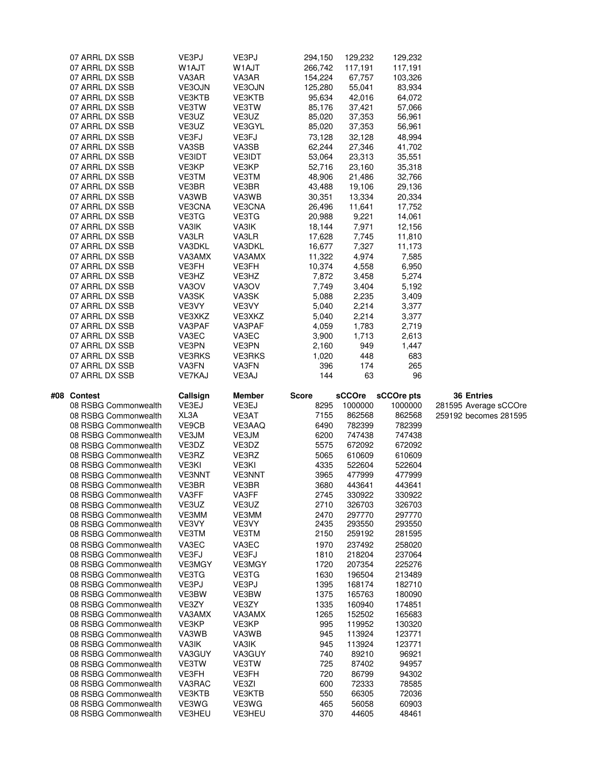| 07 ARRL DX SSB<br>07 ARRL DX SSB<br>07 ARRL DX SSB<br>07 ARRL DX SSB<br>07 ARRL DX SSB<br>07 ARRL DX SSB<br>07 ARRL DX SSB<br>07 ARRL DX SSB<br>07 ARRL DX SSB<br>07 ARRL DX SSB<br>07 ARRL DX SSB<br>07 ARRL DX SSB<br>07 ARRL DX SSB<br>07 ARRL DX SSB<br>07 ARRL DX SSB<br>07 ARRL DX SSB<br>07 ARRL DX SSB<br>07 ARRL DX SSB<br>07 ARRL DX SSB<br>07 ARRL DX SSB<br>07 ARRL DX SSB<br>07 ARRL DX SSB                                                                                                                                                                                                                                                                                                                                                                                      | VE3PJ<br>W1AJT<br>VA3AR<br>VE3OJN<br>VE3KTB<br>VE3TW<br>VE3UZ<br>VE3UZ<br>VE3FJ<br>VA3SB<br>VE3IDT<br>VE3KP<br>VE3TM<br>VE3BR<br>VA3WB<br>VE3CNA<br>VE3TG<br>VA3IK<br>VA3LR<br>VA3DKL<br>VA3AMX<br>VE3FH                                                                                                                  | VE3PJ<br>W1AJT<br>VA3AR<br>VE3OJN<br>VE3KTB<br>VE3TW<br>VE3UZ<br>VE3GYL<br>VE3FJ<br>VA3SB<br>VE3IDT<br>VE3KP<br>VE3TM<br>VE3BR<br>VA3WB<br>VE3CNA<br>VE3TG<br>VA3IK<br>VA3LR<br>VA3DKL<br>VA3AMX<br>VE3FH<br>VE3HZ                                                                                         | 294,150<br>266,742<br>154,224<br>125,280<br>95,634<br>85,176<br>85,020<br>85,020<br>73,128<br>62,244<br>53,064<br>52,716<br>48,906<br>43,488<br>30,351<br>26,496<br>20,988<br>18,144<br>17,628<br>16,677<br>11,322<br>10,374                         | 129,232<br>117,191<br>67,757<br>55,041<br>42,016<br>37,421<br>37,353<br>37,353<br>32,128<br>27,346<br>23,313<br>23,160<br>21,486<br>19,106<br>13,334<br>11,641<br>9,221<br>7,971<br>7,745<br>7,327<br>4,974<br>4,558                                                                                                    | 129,232<br>117,191<br>103,326<br>83,934<br>64,072<br>57,066<br>56,961<br>56,961<br>48,994<br>41,702<br>35,551<br>35,318<br>32,766<br>29,136<br>20,334<br>17,752<br>14,061<br>12,156<br>11,810<br>11,173<br>7,585<br>6,950                                                                                                   |                                                                     |
|-----------------------------------------------------------------------------------------------------------------------------------------------------------------------------------------------------------------------------------------------------------------------------------------------------------------------------------------------------------------------------------------------------------------------------------------------------------------------------------------------------------------------------------------------------------------------------------------------------------------------------------------------------------------------------------------------------------------------------------------------------------------------------------------------|---------------------------------------------------------------------------------------------------------------------------------------------------------------------------------------------------------------------------------------------------------------------------------------------------------------------------|------------------------------------------------------------------------------------------------------------------------------------------------------------------------------------------------------------------------------------------------------------------------------------------------------------|------------------------------------------------------------------------------------------------------------------------------------------------------------------------------------------------------------------------------------------------------|-------------------------------------------------------------------------------------------------------------------------------------------------------------------------------------------------------------------------------------------------------------------------------------------------------------------------|-----------------------------------------------------------------------------------------------------------------------------------------------------------------------------------------------------------------------------------------------------------------------------------------------------------------------------|---------------------------------------------------------------------|
| 07 ARRL DX SSB<br>07 ARRL DX SSB<br>07 ARRL DX SSB<br>07 ARRL DX SSB<br>07 ARRL DX SSB<br>07 ARRL DX SSB<br>07 ARRL DX SSB<br>07 ARRL DX SSB<br>07 ARRL DX SSB<br>07 ARRL DX SSB<br>07 ARRL DX SSB                                                                                                                                                                                                                                                                                                                                                                                                                                                                                                                                                                                            | VE3HZ<br>VA3OV<br>VA3SK<br>VE3VY<br>VE3XKZ<br>VA3PAF<br>VA3EC<br>VE3PN<br><b>VE3RKS</b><br>VA3FN<br>VE7KAJ                                                                                                                                                                                                                | VA3OV<br>VA3SK<br>VE3VY<br>VE3XKZ<br>VA3PAF<br>VA3EC<br>VE3PN<br><b>VE3RKS</b><br>VA3FN<br>VE3AJ                                                                                                                                                                                                           | 7,872<br>7,749<br>5,088<br>5,040<br>5,040<br>4,059<br>3,900<br>2,160<br>1,020<br>396<br>144                                                                                                                                                          | 3,458<br>3,404<br>2,235<br>2,214<br>2,214<br>1,783<br>1,713<br>949<br>448<br>174<br>63                                                                                                                                                                                                                                  | 5,274<br>5,192<br>3,409<br>3,377<br>3,377<br>2,719<br>2,613<br>1,447<br>683<br>265<br>96                                                                                                                                                                                                                                    |                                                                     |
| #08<br><b>Contest</b><br>08 RSBG Commonwealth<br>08 RSBG Commonwealth<br>08 RSBG Commonwealth<br>08 RSBG Commonwealth<br>08 RSBG Commonwealth<br>08 RSBG Commonwealth<br>08 RSBG Commonwealth<br>08 RSBG Commonwealth<br>08 RSBG Commonwealth<br>08 RSBG Commonwealth<br>08 RSBG Commonwealth<br>08 RSBG Commonwealth<br>08 RSBG Commonwealth<br>08 RSBG Commonwealth<br>08 RSBG Commonwealth<br>08 RSBG Commonwealth<br>08 RSBG Commonwealth<br>08 RSBG Commonwealth<br>08 RSBG Commonwealth<br>08 RSBG Commonwealth<br>08 RSBG Commonwealth<br>08 RSBG Commonwealth<br>08 RSBG Commonwealth<br>08 RSBG Commonwealth<br>08 RSBG Commonwealth<br>08 RSBG Commonwealth<br>08 RSBG Commonwealth<br>08 RSBG Commonwealth<br>08 RSBG Commonwealth<br>08 RSBG Commonwealth<br>08 RSBG Commonwealth | Callsign<br>VE3EJ<br>XL3A<br>VE9CB<br>VE3JM<br>VE3DZ<br>VE3RZ<br>VE3KI<br><b>VE3NNT</b><br>VE3BR<br>VA3FF<br>VE3UZ<br>VE3MM<br>VE3VY<br><b>VE3TM</b><br>VA3EC<br>VE3FJ<br><b>VE3MGY</b><br>VE3TG<br>VE3PJ<br>VE3BW<br>VE3ZY<br>VA3AMX<br>VE3KP<br>VA3WB<br>VA3IK<br>VA3GUY<br>VE3TW<br>VE3FH<br>VA3RAC<br>VE3KTB<br>VE3WG | Member<br>VE3EJ<br>VE3AT<br>VE3AAQ<br>VE3JM<br>VE3DZ<br>VE3RZ<br>VE3KI<br>VE3NNT<br>VE3BR<br>VA3FF<br>VE3UZ<br>VE3MM<br>VE3VY<br>VE3TM<br>VA3EC<br>VE3FJ<br>VE3MGY<br>VE3TG<br>VE3PJ<br>VE3BW<br>VE3ZY<br>VA3AMX<br>VE3KP<br>VA3WB<br>VA3IK<br>VA3GUY<br><b>VE3TW</b><br>VE3FH<br>VE3ZI<br>VE3KTB<br>VE3WG | Score<br>8295<br>7155<br>6490<br>6200<br>5575<br>5065<br>4335<br>3965<br>3680<br>2745<br>2710<br>2470<br>2435<br>2150<br>1970<br>1810<br>1720<br>1630<br>1395<br>1375<br>1335<br>1265<br>995<br>945<br>945<br>740<br>725<br>720<br>600<br>550<br>465 | sCCOre<br>1000000<br>862568<br>782399<br>747438<br>672092<br>610609<br>522604<br>477999<br>443641<br>330922<br>326703<br>297770<br>293550<br>259192<br>237492<br>218204<br>207354<br>196504<br>168174<br>165763<br>160940<br>152502<br>119952<br>113924<br>113924<br>89210<br>87402<br>86799<br>72333<br>66305<br>56058 | sCCOre pts<br>1000000<br>862568<br>782399<br>747438<br>672092<br>610609<br>522604<br>477999<br>443641<br>330922<br>326703<br>297770<br>293550<br>281595<br>258020<br>237064<br>225276<br>213489<br>182710<br>180090<br>174851<br>165683<br>130320<br>123771<br>123771<br>96921<br>94957<br>94302<br>78585<br>72036<br>60903 | <b>36 Entries</b><br>281595 Average sCCOre<br>259192 becomes 281595 |